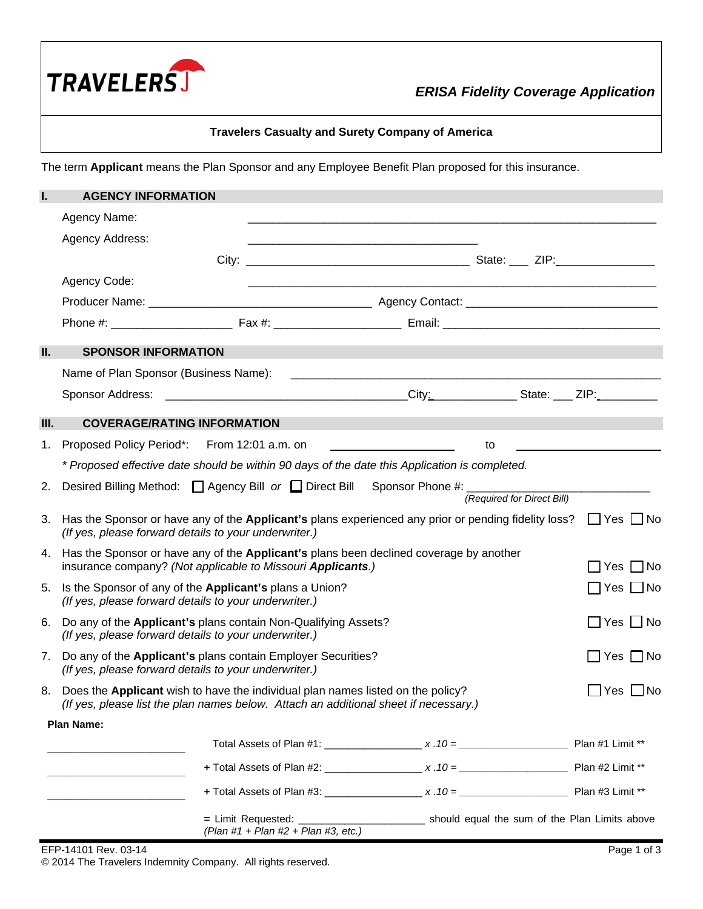

# *ERISA Fidelity Coverage Application*

## **Travelers Casualty and Surety Company of America**

The term **Applicant** means the Plan Sponsor and any Employee Benefit Plan proposed for this insurance.

| Ι.         | <b>AGENCY INFORMATION</b>                                                                                                                                                  |                                     |                                                                                                                           |                                              |
|------------|----------------------------------------------------------------------------------------------------------------------------------------------------------------------------|-------------------------------------|---------------------------------------------------------------------------------------------------------------------------|----------------------------------------------|
|            | Agency Name:                                                                                                                                                               |                                     |                                                                                                                           |                                              |
|            | Agency Address:                                                                                                                                                            |                                     |                                                                                                                           |                                              |
|            |                                                                                                                                                                            |                                     |                                                                                                                           |                                              |
|            | Agency Code:                                                                                                                                                               |                                     |                                                                                                                           |                                              |
|            |                                                                                                                                                                            |                                     |                                                                                                                           |                                              |
|            |                                                                                                                                                                            |                                     |                                                                                                                           |                                              |
| <b>II.</b> | <b>SPONSOR INFORMATION</b>                                                                                                                                                 |                                     |                                                                                                                           |                                              |
|            |                                                                                                                                                                            |                                     |                                                                                                                           |                                              |
|            |                                                                                                                                                                            |                                     |                                                                                                                           |                                              |
| Ш.         | <b>COVERAGE/RATING INFORMATION</b>                                                                                                                                         |                                     |                                                                                                                           |                                              |
| 1.         | Proposed Policy Period*:                                                                                                                                                   | From 12:01 a.m. on                  | to                                                                                                                        | <u> 1989 - Andrea Andrew Maria (b. 1989)</u> |
|            |                                                                                                                                                                            |                                     | * Proposed effective date should be within 90 days of the date this Application is completed.                             |                                              |
| 2.         |                                                                                                                                                                            |                                     | Desired Billing Method: □ Agency Bill or □ Direct Bill Sponsor Phone #: _________                                         |                                              |
|            |                                                                                                                                                                            |                                     |                                                                                                                           | (Required for Direct Bill)                   |
| 3.         | (If yes, please forward details to your underwriter.)                                                                                                                      |                                     | Has the Sponsor or have any of the Applicant's plans experienced any prior or pending fidelity loss? $\Box$ Yes $\Box$ No |                                              |
| 4.         | insurance company? (Not applicable to Missouri Applicants.)                                                                                                                |                                     | Has the Sponsor or have any of the Applicant's plans been declined coverage by another                                    | $\Box$ Yes $\Box$ No                         |
| 5.         | Is the Sponsor of any of the Applicant's plans a Union?<br>(If yes, please forward details to your underwriter.)                                                           |                                     |                                                                                                                           | $\Box$ Yes $\Box$ No                         |
| 6.         | Do any of the Applicant's plans contain Non-Qualifying Assets?<br>(If yes, please forward details to your underwriter.)                                                    |                                     |                                                                                                                           | $\Box$ Yes $\Box$ No                         |
| 7.         | Do any of the Applicant's plans contain Employer Securities?<br>(If yes, please forward details to your underwriter.)                                                      |                                     |                                                                                                                           | $\square$ Yes $\square$ No                   |
|            | 8. Does the Applicant wish to have the individual plan names listed on the policy?<br>(If yes, please list the plan names below. Attach an additional sheet if necessary.) |                                     |                                                                                                                           | $\Box$ Yes $\Box$ No                         |
|            | <b>Plan Name:</b>                                                                                                                                                          |                                     |                                                                                                                           |                                              |
|            |                                                                                                                                                                            |                                     |                                                                                                                           |                                              |
|            |                                                                                                                                                                            |                                     |                                                                                                                           |                                              |
|            |                                                                                                                                                                            |                                     |                                                                                                                           |                                              |
|            |                                                                                                                                                                            | (Plan #1 + Plan #2 + Plan #3, etc.) |                                                                                                                           |                                              |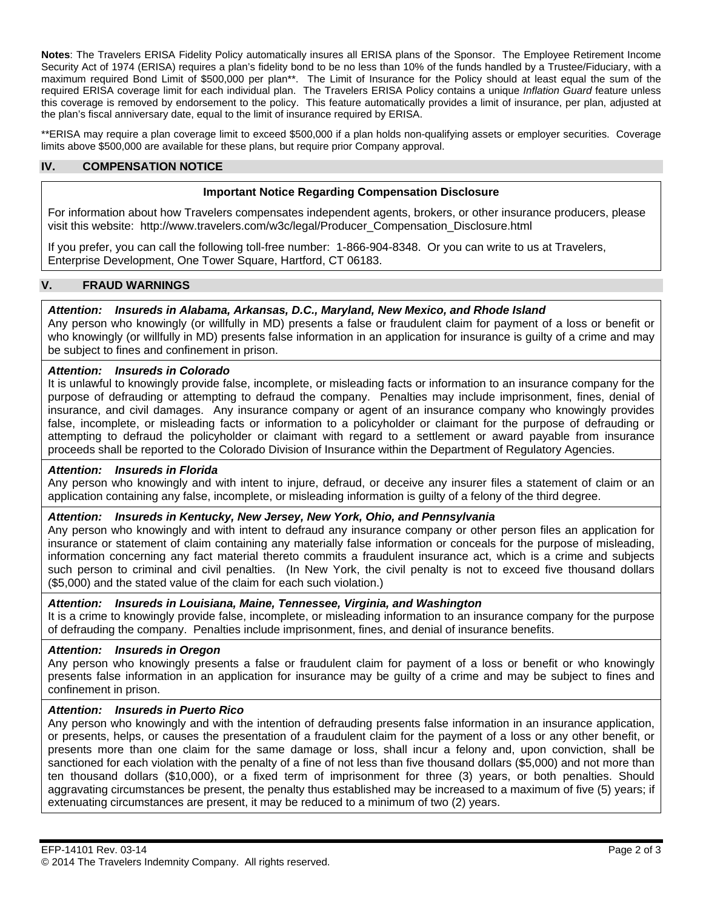**Notes**: The Travelers ERISA Fidelity Policy automatically insures all ERISA plans of the Sponsor. The Employee Retirement Income Security Act of 1974 (ERISA) requires a plan's fidelity bond to be no less than 10% of the funds handled by a Trustee/Fiduciary, with a maximum required Bond Limit of \$500,000 per plan\*\*. The Limit of Insurance for the Policy should at least equal the sum of the required ERISA coverage limit for each individual plan. The Travelers ERISA Policy contains a unique *Inflation Guard* feature unless this coverage is removed by endorsement to the policy. This feature automatically provides a limit of insurance, per plan, adjusted at the plan's fiscal anniversary date, equal to the limit of insurance required by ERISA.

\*\*ERISA may require a plan coverage limit to exceed \$500,000 if a plan holds non-qualifying assets or employer securities. Coverage limits above \$500,000 are available for these plans, but require prior Company approval.

## **IV. COMPENSATION NOTICE**

## **Important Notice Regarding Compensation Disclosure**

For information about how Travelers compensates independent agents, brokers, or other insurance producers, please visit this website: http://www.travelers.com/w3c/legal/Producer\_Compensation\_Disclosure.html

If you prefer, you can call the following toll-free number: 1-866-904-8348. Or you can write to us at Travelers, Enterprise Development, One Tower Square, Hartford, CT 06183.

## **V. FRAUD WARNINGS**

## *Attention: Insureds in Alabama, Arkansas, D.C., Maryland, New Mexico, and Rhode Island*

Any person who knowingly (or willfully in MD) presents a false or fraudulent claim for payment of a loss or benefit or who knowingly (or willfully in MD) presents false information in an application for insurance is guilty of a crime and may be subject to fines and confinement in prison.

#### *Attention: Insureds in Colorado*

It is unlawful to knowingly provide false, incomplete, or misleading facts or information to an insurance company for the purpose of defrauding or attempting to defraud the company. Penalties may include imprisonment, fines, denial of insurance, and civil damages. Any insurance company or agent of an insurance company who knowingly provides false, incomplete, or misleading facts or information to a policyholder or claimant for the purpose of defrauding or attempting to defraud the policyholder or claimant with regard to a settlement or award payable from insurance proceeds shall be reported to the Colorado Division of Insurance within the Department of Regulatory Agencies.

#### *Attention: Insureds in Florida*

Any person who knowingly and with intent to injure, defraud, or deceive any insurer files a statement of claim or an application containing any false, incomplete, or misleading information is guilty of a felony of the third degree.

#### *Attention: Insureds in Kentucky, New Jersey, New York, Ohio, and Pennsylvania*

Any person who knowingly and with intent to defraud any insurance company or other person files an application for insurance or statement of claim containing any materially false information or conceals for the purpose of misleading, information concerning any fact material thereto commits a fraudulent insurance act, which is a crime and subjects such person to criminal and civil penalties. (In New York, the civil penalty is not to exceed five thousand dollars (\$5,000) and the stated value of the claim for each such violation.)

#### *Attention: Insureds in Louisiana, Maine, Tennessee, Virginia, and Washington*

It is a crime to knowingly provide false, incomplete, or misleading information to an insurance company for the purpose of defrauding the company. Penalties include imprisonment, fines, and denial of insurance benefits.

#### *Attention: Insureds in Oregon*

Any person who knowingly presents a false or fraudulent claim for payment of a loss or benefit or who knowingly presents false information in an application for insurance may be guilty of a crime and may be subject to fines and confinement in prison.

## *Attention: Insureds in Puerto Rico*

Any person who knowingly and with the intention of defrauding presents false information in an insurance application, or presents, helps, or causes the presentation of a fraudulent claim for the payment of a loss or any other benefit, or presents more than one claim for the same damage or loss, shall incur a felony and, upon conviction, shall be sanctioned for each violation with the penalty of a fine of not less than five thousand dollars (\$5,000) and not more than ten thousand dollars (\$10,000), or a fixed term of imprisonment for three (3) years, or both penalties. Should aggravating circumstances be present, the penalty thus established may be increased to a maximum of five (5) years; if extenuating circumstances are present, it may be reduced to a minimum of two (2) years.